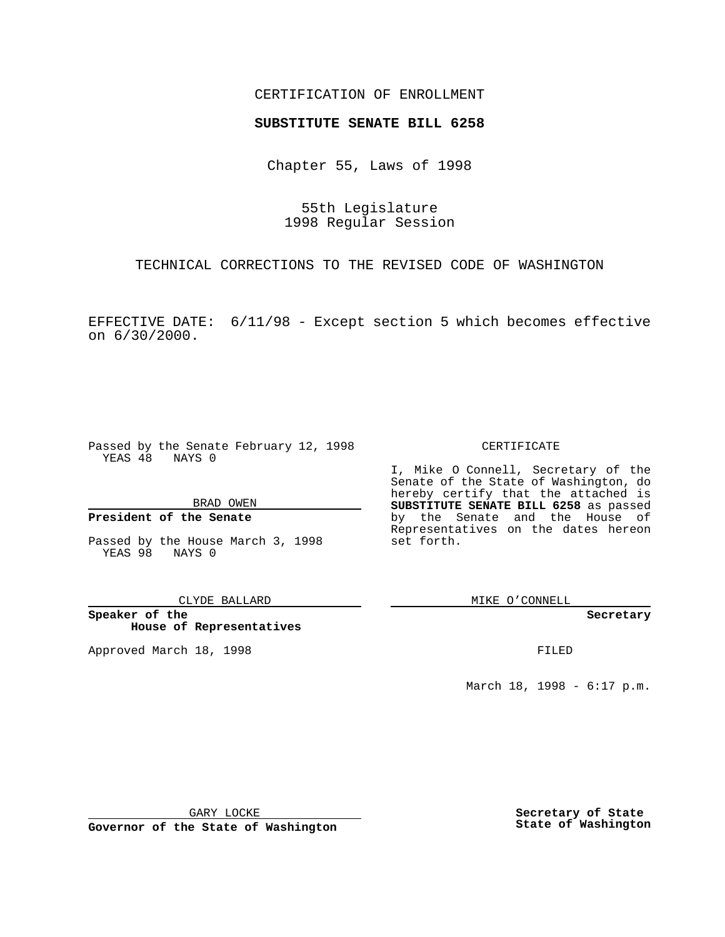## CERTIFICATION OF ENROLLMENT

# **SUBSTITUTE SENATE BILL 6258**

Chapter 55, Laws of 1998

55th Legislature 1998 Regular Session

TECHNICAL CORRECTIONS TO THE REVISED CODE OF WASHINGTON

EFFECTIVE DATE: 6/11/98 - Except section 5 which becomes effective on 6/30/2000.

Passed by the Senate February 12, 1998 YEAS 48 NAYS 0

BRAD OWEN

### **President of the Senate**

Passed by the House March 3, 1998 YEAS 98 NAYS 0

CLYDE BALLARD

**Speaker of the House of Representatives**

Approved March 18, 1998 **FILED** 

#### CERTIFICATE

I, Mike O Connell, Secretary of the Senate of the State of Washington, do hereby certify that the attached is **SUBSTITUTE SENATE BILL 6258** as passed by the Senate and the House of Representatives on the dates hereon set forth.

MIKE O'CONNELL

**Secretary**

March 18, 1998 - 6:17 p.m.

GARY LOCKE

**Governor of the State of Washington**

**Secretary of State State of Washington**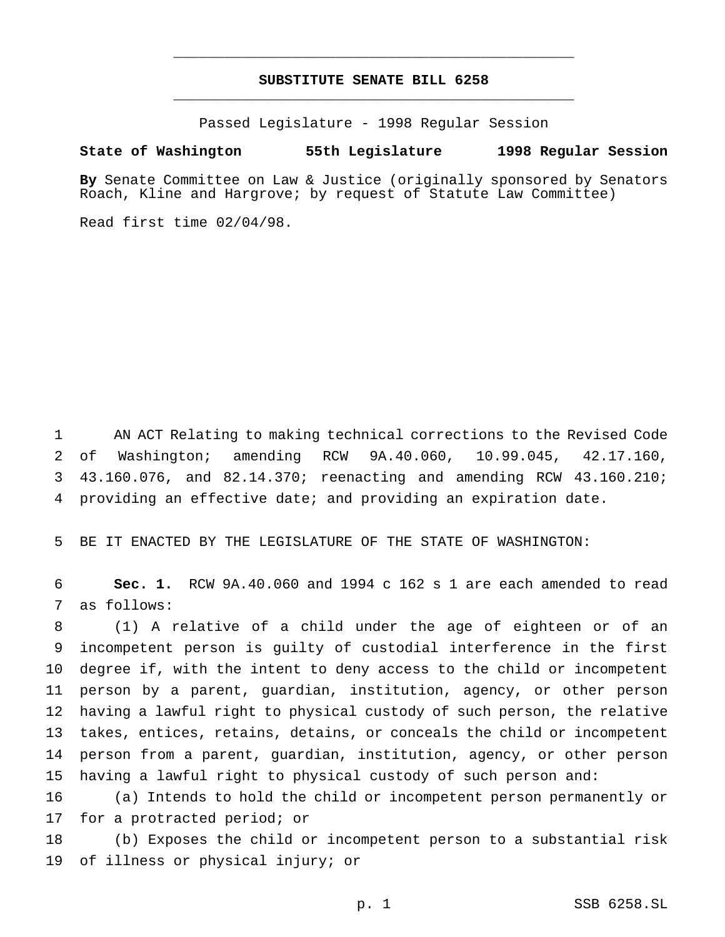# **SUBSTITUTE SENATE BILL 6258** \_\_\_\_\_\_\_\_\_\_\_\_\_\_\_\_\_\_\_\_\_\_\_\_\_\_\_\_\_\_\_\_\_\_\_\_\_\_\_\_\_\_\_\_\_\_\_

\_\_\_\_\_\_\_\_\_\_\_\_\_\_\_\_\_\_\_\_\_\_\_\_\_\_\_\_\_\_\_\_\_\_\_\_\_\_\_\_\_\_\_\_\_\_\_

Passed Legislature - 1998 Regular Session

### **State of Washington 55th Legislature 1998 Regular Session**

**By** Senate Committee on Law & Justice (originally sponsored by Senators Roach, Kline and Hargrove; by request of Statute Law Committee)

Read first time 02/04/98.

 AN ACT Relating to making technical corrections to the Revised Code of Washington; amending RCW 9A.40.060, 10.99.045, 42.17.160, 43.160.076, and 82.14.370; reenacting and amending RCW 43.160.210; providing an effective date; and providing an expiration date.

BE IT ENACTED BY THE LEGISLATURE OF THE STATE OF WASHINGTON:

 **Sec. 1.** RCW 9A.40.060 and 1994 c 162 s 1 are each amended to read as follows:

 (1) A relative of a child under the age of eighteen or of an incompetent person is guilty of custodial interference in the first degree if, with the intent to deny access to the child or incompetent person by a parent, guardian, institution, agency, or other person having a lawful right to physical custody of such person, the relative takes, entices, retains, detains, or conceals the child or incompetent person from a parent, guardian, institution, agency, or other person having a lawful right to physical custody of such person and:

 (a) Intends to hold the child or incompetent person permanently or for a protracted period; or

 (b) Exposes the child or incompetent person to a substantial risk of illness or physical injury; or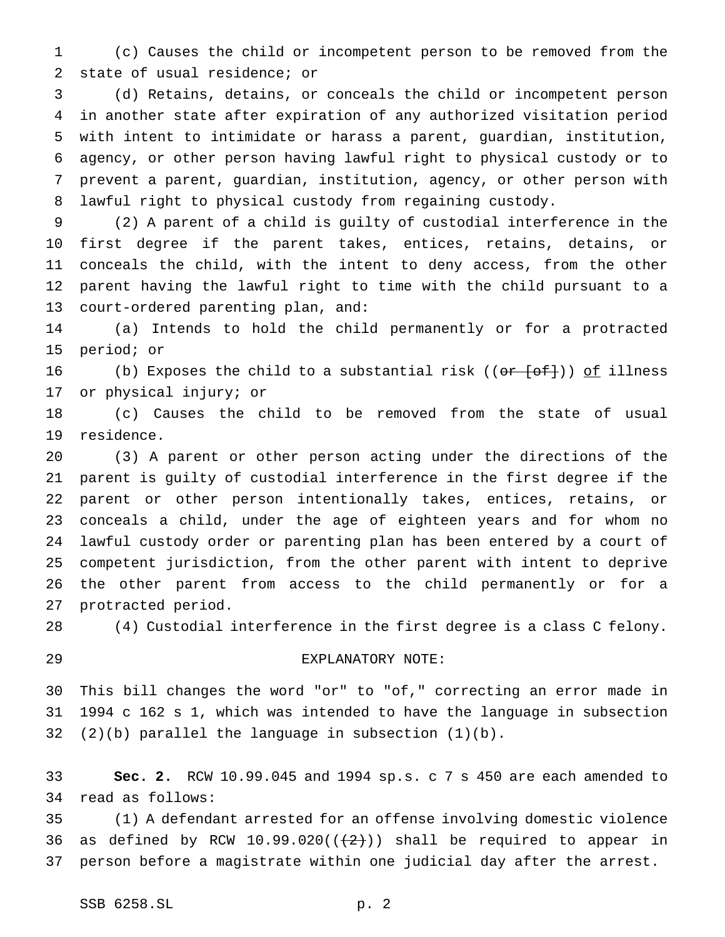(c) Causes the child or incompetent person to be removed from the state of usual residence; or

 (d) Retains, detains, or conceals the child or incompetent person in another state after expiration of any authorized visitation period with intent to intimidate or harass a parent, guardian, institution, agency, or other person having lawful right to physical custody or to prevent a parent, guardian, institution, agency, or other person with lawful right to physical custody from regaining custody.

 (2) A parent of a child is guilty of custodial interference in the first degree if the parent takes, entices, retains, detains, or conceals the child, with the intent to deny access, from the other parent having the lawful right to time with the child pursuant to a court-ordered parenting plan, and:

 (a) Intends to hold the child permanently or for a protracted period; or

16 (b) Exposes the child to a substantial risk ( $(\overline{or} - \overline{f}$ )) of illness or physical injury; or

 (c) Causes the child to be removed from the state of usual residence.

 (3) A parent or other person acting under the directions of the parent is guilty of custodial interference in the first degree if the parent or other person intentionally takes, entices, retains, or conceals a child, under the age of eighteen years and for whom no lawful custody order or parenting plan has been entered by a court of competent jurisdiction, from the other parent with intent to deprive the other parent from access to the child permanently or for a protracted period.

(4) Custodial interference in the first degree is a class C felony.

### EXPLANATORY NOTE:

 This bill changes the word "or" to "of," correcting an error made in 1994 c 162 s 1, which was intended to have the language in subsection (2)(b) parallel the language in subsection (1)(b).

 **Sec. 2.** RCW 10.99.045 and 1994 sp.s. c 7 s 450 are each amended to read as follows:

 (1) A defendant arrested for an offense involving domestic violence 36 as defined by RCW 10.99.020( $(\frac{2}{2})$ ) shall be required to appear in person before a magistrate within one judicial day after the arrest.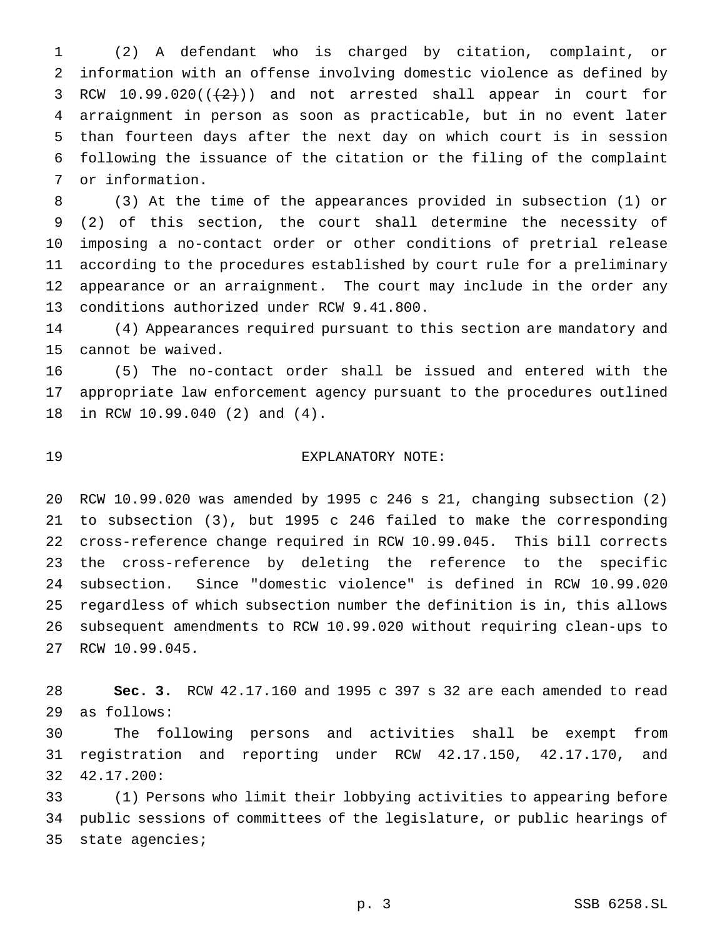(2) A defendant who is charged by citation, complaint, or information with an offense involving domestic violence as defined by 3 RCW  $10.99.020((+2))$  and not arrested shall appear in court for arraignment in person as soon as practicable, but in no event later than fourteen days after the next day on which court is in session following the issuance of the citation or the filing of the complaint or information.

 (3) At the time of the appearances provided in subsection (1) or (2) of this section, the court shall determine the necessity of imposing a no-contact order or other conditions of pretrial release according to the procedures established by court rule for a preliminary appearance or an arraignment. The court may include in the order any conditions authorized under RCW 9.41.800.

 (4) Appearances required pursuant to this section are mandatory and cannot be waived.

 (5) The no-contact order shall be issued and entered with the appropriate law enforcement agency pursuant to the procedures outlined in RCW 10.99.040 (2) and (4).

# EXPLANATORY NOTE:

 RCW 10.99.020 was amended by 1995 c 246 s 21, changing subsection (2) to subsection (3), but 1995 c 246 failed to make the corresponding cross-reference change required in RCW 10.99.045. This bill corrects the cross-reference by deleting the reference to the specific subsection. Since "domestic violence" is defined in RCW 10.99.020 regardless of which subsection number the definition is in, this allows subsequent amendments to RCW 10.99.020 without requiring clean-ups to RCW 10.99.045.

 **Sec. 3.** RCW 42.17.160 and 1995 c 397 s 32 are each amended to read as follows:

 The following persons and activities shall be exempt from registration and reporting under RCW 42.17.150, 42.17.170, and 42.17.200:

 (1) Persons who limit their lobbying activities to appearing before public sessions of committees of the legislature, or public hearings of state agencies;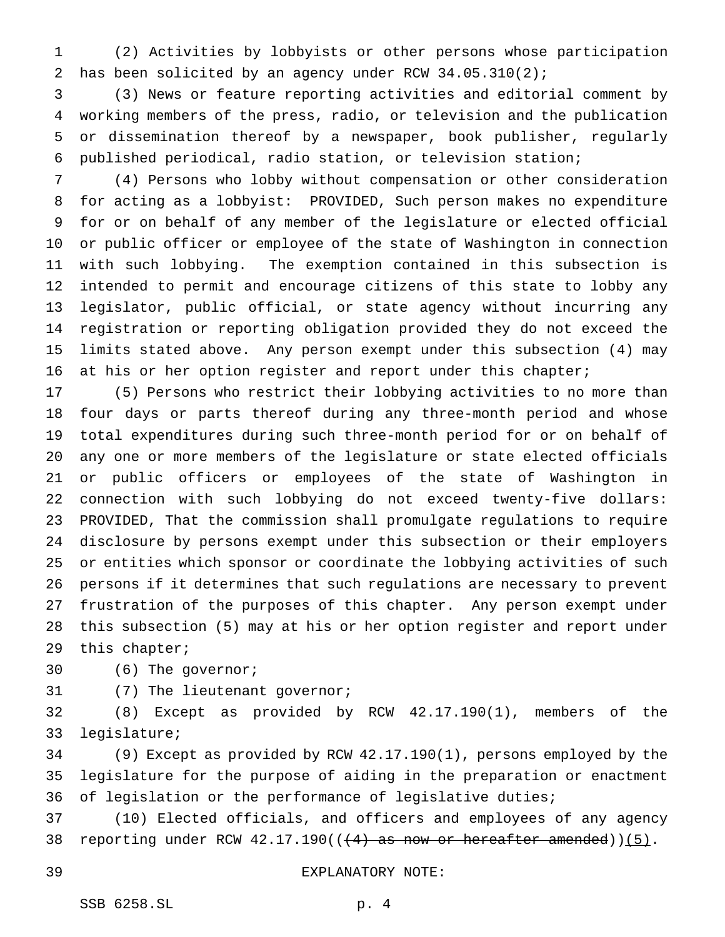(2) Activities by lobbyists or other persons whose participation has been solicited by an agency under RCW 34.05.310(2);

 (3) News or feature reporting activities and editorial comment by working members of the press, radio, or television and the publication or dissemination thereof by a newspaper, book publisher, regularly published periodical, radio station, or television station;

 (4) Persons who lobby without compensation or other consideration for acting as a lobbyist: PROVIDED, Such person makes no expenditure for or on behalf of any member of the legislature or elected official or public officer or employee of the state of Washington in connection with such lobbying. The exemption contained in this subsection is intended to permit and encourage citizens of this state to lobby any legislator, public official, or state agency without incurring any registration or reporting obligation provided they do not exceed the limits stated above. Any person exempt under this subsection (4) may at his or her option register and report under this chapter;

 (5) Persons who restrict their lobbying activities to no more than four days or parts thereof during any three-month period and whose total expenditures during such three-month period for or on behalf of any one or more members of the legislature or state elected officials or public officers or employees of the state of Washington in connection with such lobbying do not exceed twenty-five dollars: PROVIDED, That the commission shall promulgate regulations to require disclosure by persons exempt under this subsection or their employers or entities which sponsor or coordinate the lobbying activities of such persons if it determines that such regulations are necessary to prevent frustration of the purposes of this chapter. Any person exempt under this subsection (5) may at his or her option register and report under this chapter;

(6) The governor;

(7) The lieutenant governor;

 (8) Except as provided by RCW 42.17.190(1), members of the legislature;

 (9) Except as provided by RCW 42.17.190(1), persons employed by the legislature for the purpose of aiding in the preparation or enactment of legislation or the performance of legislative duties;

 (10) Elected officials, and officers and employees of any agency 38 reporting under RCW  $42.17.190$  ( $(4)$  as now or hereafter amended)) $(5)$ .

### EXPLANATORY NOTE: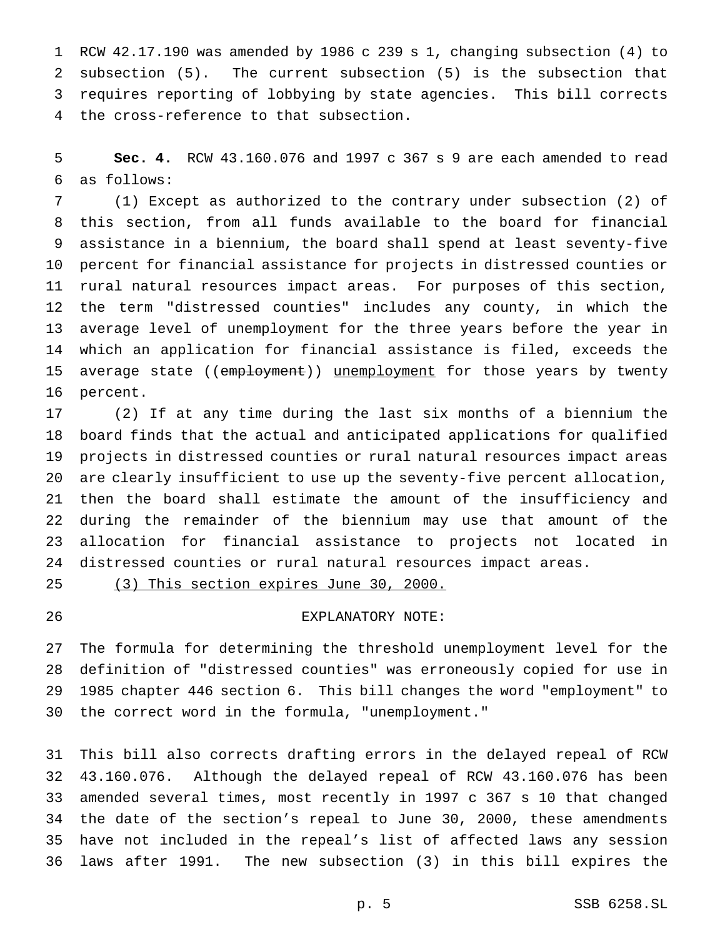RCW 42.17.190 was amended by 1986 c 239 s 1, changing subsection (4) to subsection (5). The current subsection (5) is the subsection that requires reporting of lobbying by state agencies. This bill corrects the cross-reference to that subsection.

 **Sec. 4.** RCW 43.160.076 and 1997 c 367 s 9 are each amended to read as follows:

 (1) Except as authorized to the contrary under subsection (2) of this section, from all funds available to the board for financial assistance in a biennium, the board shall spend at least seventy-five percent for financial assistance for projects in distressed counties or rural natural resources impact areas. For purposes of this section, the term "distressed counties" includes any county, in which the average level of unemployment for the three years before the year in which an application for financial assistance is filed, exceeds the 15 average state ((employment)) unemployment for those years by twenty percent.

 (2) If at any time during the last six months of a biennium the board finds that the actual and anticipated applications for qualified projects in distressed counties or rural natural resources impact areas are clearly insufficient to use up the seventy-five percent allocation, then the board shall estimate the amount of the insufficiency and during the remainder of the biennium may use that amount of the allocation for financial assistance to projects not located in distressed counties or rural natural resources impact areas.

(3) This section expires June 30, 2000.

# EXPLANATORY NOTE:

 The formula for determining the threshold unemployment level for the definition of "distressed counties" was erroneously copied for use in 1985 chapter 446 section 6. This bill changes the word "employment" to the correct word in the formula, "unemployment."

 This bill also corrects drafting errors in the delayed repeal of RCW 43.160.076. Although the delayed repeal of RCW 43.160.076 has been amended several times, most recently in 1997 c 367 s 10 that changed the date of the section's repeal to June 30, 2000, these amendments have not included in the repeal's list of affected laws any session laws after 1991. The new subsection (3) in this bill expires the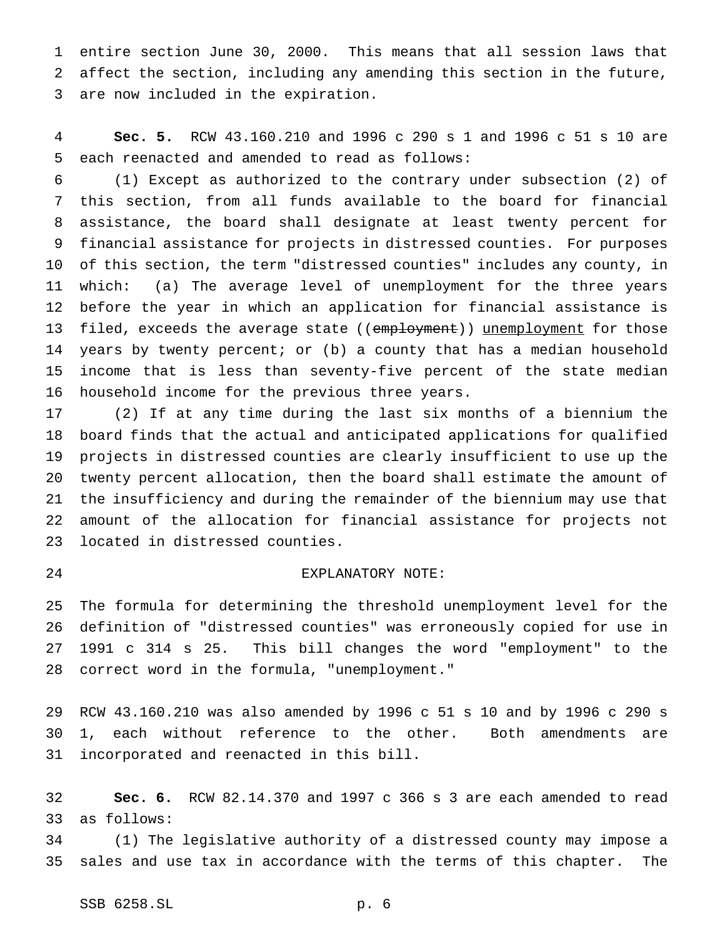entire section June 30, 2000. This means that all session laws that affect the section, including any amending this section in the future, are now included in the expiration.

 **Sec. 5.** RCW 43.160.210 and 1996 c 290 s 1 and 1996 c 51 s 10 are each reenacted and amended to read as follows:

 (1) Except as authorized to the contrary under subsection (2) of this section, from all funds available to the board for financial assistance, the board shall designate at least twenty percent for financial assistance for projects in distressed counties. For purposes of this section, the term "distressed counties" includes any county, in which: (a) The average level of unemployment for the three years before the year in which an application for financial assistance is 13 filed, exceeds the average state ((employment)) unemployment for those years by twenty percent; or (b) a county that has a median household income that is less than seventy-five percent of the state median household income for the previous three years.

 (2) If at any time during the last six months of a biennium the board finds that the actual and anticipated applications for qualified projects in distressed counties are clearly insufficient to use up the twenty percent allocation, then the board shall estimate the amount of the insufficiency and during the remainder of the biennium may use that amount of the allocation for financial assistance for projects not located in distressed counties.

## EXPLANATORY NOTE:

 The formula for determining the threshold unemployment level for the definition of "distressed counties" was erroneously copied for use in 1991 c 314 s 25. This bill changes the word "employment" to the correct word in the formula, "unemployment."

 RCW 43.160.210 was also amended by 1996 c 51 s 10 and by 1996 c 290 s 1, each without reference to the other. Both amendments are incorporated and reenacted in this bill.

 **Sec. 6.** RCW 82.14.370 and 1997 c 366 s 3 are each amended to read as follows:

 (1) The legislative authority of a distressed county may impose a sales and use tax in accordance with the terms of this chapter. The